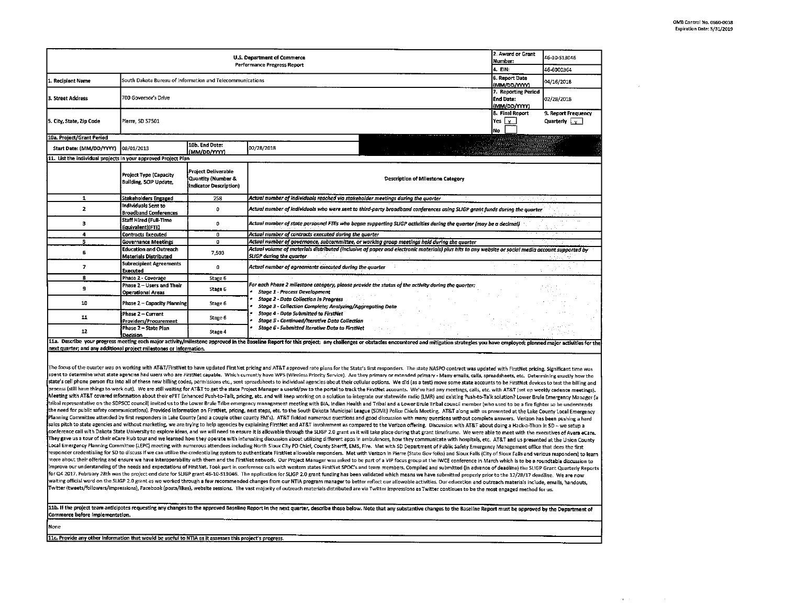$\mathcal{O}(\mathcal{A})$  . The  $\mathcal{O}(\mathcal{A})$ 

|                                                                                                         |                                                               |                                                                     | <b>U.S. Department of Commerce</b><br>Performance Progress Report                                         |                                                                                                                                                                                                                                                                                                                                                                                                                                                                                                                                                                                                                                                                                                                                                                                                                                                                                                                                                                                                                                                                                                                                                                                                                                                                                                                                                                                                                                                                                                                                                                                                                                                                                                                                                                                                                                                                                                                                                                                                                                                                                                                                                                                                                                                                                                                                                                                                                                                                                                                                                                                                                                                                                                                                                                                                                                                                                                                                                                                                                                                                                                                                                                                                                                                                                                                                                                                                                                                                                                                                                                                                                                                                                                                                                                                                                                                                                                                                                                                                                                                                                                                                                                                                                              | 2. Award or Grant<br>Number:<br>4. EIN:                          | 46-10-513046<br>46-6000364         |
|---------------------------------------------------------------------------------------------------------|---------------------------------------------------------------|---------------------------------------------------------------------|-----------------------------------------------------------------------------------------------------------|------------------------------------------------------------------------------------------------------------------------------------------------------------------------------------------------------------------------------------------------------------------------------------------------------------------------------------------------------------------------------------------------------------------------------------------------------------------------------------------------------------------------------------------------------------------------------------------------------------------------------------------------------------------------------------------------------------------------------------------------------------------------------------------------------------------------------------------------------------------------------------------------------------------------------------------------------------------------------------------------------------------------------------------------------------------------------------------------------------------------------------------------------------------------------------------------------------------------------------------------------------------------------------------------------------------------------------------------------------------------------------------------------------------------------------------------------------------------------------------------------------------------------------------------------------------------------------------------------------------------------------------------------------------------------------------------------------------------------------------------------------------------------------------------------------------------------------------------------------------------------------------------------------------------------------------------------------------------------------------------------------------------------------------------------------------------------------------------------------------------------------------------------------------------------------------------------------------------------------------------------------------------------------------------------------------------------------------------------------------------------------------------------------------------------------------------------------------------------------------------------------------------------------------------------------------------------------------------------------------------------------------------------------------------------------------------------------------------------------------------------------------------------------------------------------------------------------------------------------------------------------------------------------------------------------------------------------------------------------------------------------------------------------------------------------------------------------------------------------------------------------------------------------------------------------------------------------------------------------------------------------------------------------------------------------------------------------------------------------------------------------------------------------------------------------------------------------------------------------------------------------------------------------------------------------------------------------------------------------------------------------------------------------------------------------------------------------------------------------------------------------------------------------------------------------------------------------------------------------------------------------------------------------------------------------------------------------------------------------------------------------------------------------------------------------------------------------------------------------------------------------------------------------------------------------------------------------------------------|------------------------------------------------------------------|------------------------------------|
| Recipient Name                                                                                          | South Dakota Bureau of Information and Telecommunications     |                                                                     |                                                                                                           |                                                                                                                                                                                                                                                                                                                                                                                                                                                                                                                                                                                                                                                                                                                                                                                                                                                                                                                                                                                                                                                                                                                                                                                                                                                                                                                                                                                                                                                                                                                                                                                                                                                                                                                                                                                                                                                                                                                                                                                                                                                                                                                                                                                                                                                                                                                                                                                                                                                                                                                                                                                                                                                                                                                                                                                                                                                                                                                                                                                                                                                                                                                                                                                                                                                                                                                                                                                                                                                                                                                                                                                                                                                                                                                                                                                                                                                                                                                                                                                                                                                                                                                                                                                                                              | 6. Report Date                                                   | 04/16/2018                         |
| 3. Street Address                                                                                       | 700 Governor's Drive                                          |                                                                     |                                                                                                           |                                                                                                                                                                                                                                                                                                                                                                                                                                                                                                                                                                                                                                                                                                                                                                                                                                                                                                                                                                                                                                                                                                                                                                                                                                                                                                                                                                                                                                                                                                                                                                                                                                                                                                                                                                                                                                                                                                                                                                                                                                                                                                                                                                                                                                                                                                                                                                                                                                                                                                                                                                                                                                                                                                                                                                                                                                                                                                                                                                                                                                                                                                                                                                                                                                                                                                                                                                                                                                                                                                                                                                                                                                                                                                                                                                                                                                                                                                                                                                                                                                                                                                                                                                                                                              | (MM/DD/YYYY)<br>7. Reporting Period<br>End Date:<br>(MM/DD/YYYY) | 02/28/2018                         |
| 5. City, State, Zip Code                                                                                | Pierre SD 57501                                               |                                                                     |                                                                                                           |                                                                                                                                                                                                                                                                                                                                                                                                                                                                                                                                                                                                                                                                                                                                                                                                                                                                                                                                                                                                                                                                                                                                                                                                                                                                                                                                                                                                                                                                                                                                                                                                                                                                                                                                                                                                                                                                                                                                                                                                                                                                                                                                                                                                                                                                                                                                                                                                                                                                                                                                                                                                                                                                                                                                                                                                                                                                                                                                                                                                                                                                                                                                                                                                                                                                                                                                                                                                                                                                                                                                                                                                                                                                                                                                                                                                                                                                                                                                                                                                                                                                                                                                                                                                                              | 8. Final Report<br>Yesly<br>No                                   | 9. Report Frequency<br>Quarterly v |
| 10a. Project/Grant Period                                                                               |                                                               |                                                                     |                                                                                                           |                                                                                                                                                                                                                                                                                                                                                                                                                                                                                                                                                                                                                                                                                                                                                                                                                                                                                                                                                                                                                                                                                                                                                                                                                                                                                                                                                                                                                                                                                                                                                                                                                                                                                                                                                                                                                                                                                                                                                                                                                                                                                                                                                                                                                                                                                                                                                                                                                                                                                                                                                                                                                                                                                                                                                                                                                                                                                                                                                                                                                                                                                                                                                                                                                                                                                                                                                                                                                                                                                                                                                                                                                                                                                                                                                                                                                                                                                                                                                                                                                                                                                                                                                                                                                              |                                                                  |                                    |
| Start Date: (MM/DD/YYYY)                                                                                | 08/01/2013                                                    | 10b. End Date:<br>(MM/DD/YYYY)                                      | 02/28/2018                                                                                                |                                                                                                                                                                                                                                                                                                                                                                                                                                                                                                                                                                                                                                                                                                                                                                                                                                                                                                                                                                                                                                                                                                                                                                                                                                                                                                                                                                                                                                                                                                                                                                                                                                                                                                                                                                                                                                                                                                                                                                                                                                                                                                                                                                                                                                                                                                                                                                                                                                                                                                                                                                                                                                                                                                                                                                                                                                                                                                                                                                                                                                                                                                                                                                                                                                                                                                                                                                                                                                                                                                                                                                                                                                                                                                                                                                                                                                                                                                                                                                                                                                                                                                                                                                                                                              |                                                                  |                                    |
| 11. List the individual projects in your approved Project Plan                                          |                                                               |                                                                     |                                                                                                           |                                                                                                                                                                                                                                                                                                                                                                                                                                                                                                                                                                                                                                                                                                                                                                                                                                                                                                                                                                                                                                                                                                                                                                                                                                                                                                                                                                                                                                                                                                                                                                                                                                                                                                                                                                                                                                                                                                                                                                                                                                                                                                                                                                                                                                                                                                                                                                                                                                                                                                                                                                                                                                                                                                                                                                                                                                                                                                                                                                                                                                                                                                                                                                                                                                                                                                                                                                                                                                                                                                                                                                                                                                                                                                                                                                                                                                                                                                                                                                                                                                                                                                                                                                                                                              |                                                                  |                                    |
|                                                                                                         | Project Type (Capacity<br>Building, SCIP Update,              | Project Deliverable<br>Quantity (Number &<br>Indicator Description) |                                                                                                           | Description of Milestone Category                                                                                                                                                                                                                                                                                                                                                                                                                                                                                                                                                                                                                                                                                                                                                                                                                                                                                                                                                                                                                                                                                                                                                                                                                                                                                                                                                                                                                                                                                                                                                                                                                                                                                                                                                                                                                                                                                                                                                                                                                                                                                                                                                                                                                                                                                                                                                                                                                                                                                                                                                                                                                                                                                                                                                                                                                                                                                                                                                                                                                                                                                                                                                                                                                                                                                                                                                                                                                                                                                                                                                                                                                                                                                                                                                                                                                                                                                                                                                                                                                                                                                                                                                                                            |                                                                  |                                    |
| $\mathbf{I}$                                                                                            | <b>Stakeholders Engaged</b>                                   | 258                                                                 | Actual number of individuals reached via stakeholder meetings during the quarter                          |                                                                                                                                                                                                                                                                                                                                                                                                                                                                                                                                                                                                                                                                                                                                                                                                                                                                                                                                                                                                                                                                                                                                                                                                                                                                                                                                                                                                                                                                                                                                                                                                                                                                                                                                                                                                                                                                                                                                                                                                                                                                                                                                                                                                                                                                                                                                                                                                                                                                                                                                                                                                                                                                                                                                                                                                                                                                                                                                                                                                                                                                                                                                                                                                                                                                                                                                                                                                                                                                                                                                                                                                                                                                                                                                                                                                                                                                                                                                                                                                                                                                                                                                                                                                                              |                                                                  |                                    |
| $\overline{2}$                                                                                          | <b>Individuals Sent to</b><br><b>Broadband Conferences</b>    | 0                                                                   |                                                                                                           | Actual number of individuals who were sent to third-party broadband conferences using SLIGP grant funds during the quarter                                                                                                                                                                                                                                                                                                                                                                                                                                                                                                                                                                                                                                                                                                                                                                                                                                                                                                                                                                                                                                                                                                                                                                                                                                                                                                                                                                                                                                                                                                                                                                                                                                                                                                                                                                                                                                                                                                                                                                                                                                                                                                                                                                                                                                                                                                                                                                                                                                                                                                                                                                                                                                                                                                                                                                                                                                                                                                                                                                                                                                                                                                                                                                                                                                                                                                                                                                                                                                                                                                                                                                                                                                                                                                                                                                                                                                                                                                                                                                                                                                                                                                   |                                                                  |                                    |
| $\overline{\mathbf{3}}$                                                                                 | Staff Hired (Full-Time<br>Equivalent) (FTE)                   | 0                                                                   |                                                                                                           | Actual number of state personnel FTEs who began supporting SLIGP activities during the quarter (may be a decimal)                                                                                                                                                                                                                                                                                                                                                                                                                                                                                                                                                                                                                                                                                                                                                                                                                                                                                                                                                                                                                                                                                                                                                                                                                                                                                                                                                                                                                                                                                                                                                                                                                                                                                                                                                                                                                                                                                                                                                                                                                                                                                                                                                                                                                                                                                                                                                                                                                                                                                                                                                                                                                                                                                                                                                                                                                                                                                                                                                                                                                                                                                                                                                                                                                                                                                                                                                                                                                                                                                                                                                                                                                                                                                                                                                                                                                                                                                                                                                                                                                                                                                                            |                                                                  |                                    |
| $\overline{\mathbf{4}}$                                                                                 | <b>Contracts Executed</b>                                     | $\overline{0}$                                                      | Actual number of contracts executed during the quarter                                                    |                                                                                                                                                                                                                                                                                                                                                                                                                                                                                                                                                                                                                                                                                                                                                                                                                                                                                                                                                                                                                                                                                                                                                                                                                                                                                                                                                                                                                                                                                                                                                                                                                                                                                                                                                                                                                                                                                                                                                                                                                                                                                                                                                                                                                                                                                                                                                                                                                                                                                                                                                                                                                                                                                                                                                                                                                                                                                                                                                                                                                                                                                                                                                                                                                                                                                                                                                                                                                                                                                                                                                                                                                                                                                                                                                                                                                                                                                                                                                                                                                                                                                                                                                                                                                              |                                                                  |                                    |
| 5                                                                                                       | <b>Governance Meetings</b>                                    | 0                                                                   |                                                                                                           | Actual number of governance, subcommittee, or working group meetings held during the quarter                                                                                                                                                                                                                                                                                                                                                                                                                                                                                                                                                                                                                                                                                                                                                                                                                                                                                                                                                                                                                                                                                                                                                                                                                                                                                                                                                                                                                                                                                                                                                                                                                                                                                                                                                                                                                                                                                                                                                                                                                                                                                                                                                                                                                                                                                                                                                                                                                                                                                                                                                                                                                                                                                                                                                                                                                                                                                                                                                                                                                                                                                                                                                                                                                                                                                                                                                                                                                                                                                                                                                                                                                                                                                                                                                                                                                                                                                                                                                                                                                                                                                                                                 |                                                                  |                                    |
| 6                                                                                                       | <b>Education and Outreach</b><br><b>Materials Distributed</b> | 7,503                                                               | <b>SLIGP during the quarter</b>                                                                           | Actual volume of materials distributed (inclusive of paper and electronic materials) plus hits to any website or social media account supported by                                                                                                                                                                                                                                                                                                                                                                                                                                                                                                                                                                                                                                                                                                                                                                                                                                                                                                                                                                                                                                                                                                                                                                                                                                                                                                                                                                                                                                                                                                                                                                                                                                                                                                                                                                                                                                                                                                                                                                                                                                                                                                                                                                                                                                                                                                                                                                                                                                                                                                                                                                                                                                                                                                                                                                                                                                                                                                                                                                                                                                                                                                                                                                                                                                                                                                                                                                                                                                                                                                                                                                                                                                                                                                                                                                                                                                                                                                                                                                                                                                                                           |                                                                  |                                    |
| $\overline{\boldsymbol{r}}$                                                                             | <b>Subrecipient Agreements</b><br>Executed                    | 0                                                                   | Actual number of agreements executed during the quarter                                                   |                                                                                                                                                                                                                                                                                                                                                                                                                                                                                                                                                                                                                                                                                                                                                                                                                                                                                                                                                                                                                                                                                                                                                                                                                                                                                                                                                                                                                                                                                                                                                                                                                                                                                                                                                                                                                                                                                                                                                                                                                                                                                                                                                                                                                                                                                                                                                                                                                                                                                                                                                                                                                                                                                                                                                                                                                                                                                                                                                                                                                                                                                                                                                                                                                                                                                                                                                                                                                                                                                                                                                                                                                                                                                                                                                                                                                                                                                                                                                                                                                                                                                                                                                                                                                              |                                                                  |                                    |
| $\overline{\mathbf{g}}$                                                                                 | Phase 2 - Coverage                                            | Stage 6                                                             |                                                                                                           |                                                                                                                                                                                                                                                                                                                                                                                                                                                                                                                                                                                                                                                                                                                                                                                                                                                                                                                                                                                                                                                                                                                                                                                                                                                                                                                                                                                                                                                                                                                                                                                                                                                                                                                                                                                                                                                                                                                                                                                                                                                                                                                                                                                                                                                                                                                                                                                                                                                                                                                                                                                                                                                                                                                                                                                                                                                                                                                                                                                                                                                                                                                                                                                                                                                                                                                                                                                                                                                                                                                                                                                                                                                                                                                                                                                                                                                                                                                                                                                                                                                                                                                                                                                                                              |                                                                  |                                    |
| э                                                                                                       | Phase 2 – Users and Their<br>Operational Areas                | Stage 6                                                             | <b>Stage 1 - Process Development</b>                                                                      | For each Phase 2 milestone category, please provide the status of the activity during the quarter:                                                                                                                                                                                                                                                                                                                                                                                                                                                                                                                                                                                                                                                                                                                                                                                                                                                                                                                                                                                                                                                                                                                                                                                                                                                                                                                                                                                                                                                                                                                                                                                                                                                                                                                                                                                                                                                                                                                                                                                                                                                                                                                                                                                                                                                                                                                                                                                                                                                                                                                                                                                                                                                                                                                                                                                                                                                                                                                                                                                                                                                                                                                                                                                                                                                                                                                                                                                                                                                                                                                                                                                                                                                                                                                                                                                                                                                                                                                                                                                                                                                                                                                           |                                                                  |                                    |
| 10                                                                                                      | <b>Phase 2 - Capacity Planning</b>                            | Stage 6                                                             | <b>Stage 2 - Data Collection in Progress</b><br>Stage 3 - Collection Complete; Analyzing/Aggregating Data |                                                                                                                                                                                                                                                                                                                                                                                                                                                                                                                                                                                                                                                                                                                                                                                                                                                                                                                                                                                                                                                                                                                                                                                                                                                                                                                                                                                                                                                                                                                                                                                                                                                                                                                                                                                                                                                                                                                                                                                                                                                                                                                                                                                                                                                                                                                                                                                                                                                                                                                                                                                                                                                                                                                                                                                                                                                                                                                                                                                                                                                                                                                                                                                                                                                                                                                                                                                                                                                                                                                                                                                                                                                                                                                                                                                                                                                                                                                                                                                                                                                                                                                                                                                                                              |                                                                  |                                    |
| 11                                                                                                      | Phase 2 - Current<br>Providers/Procurement                    | Stage 6                                                             | Stage 4 - Data Submitted to FirstNet<br><b>Stage 5 - Continued/Iterative Data Collection</b>              |                                                                                                                                                                                                                                                                                                                                                                                                                                                                                                                                                                                                                                                                                                                                                                                                                                                                                                                                                                                                                                                                                                                                                                                                                                                                                                                                                                                                                                                                                                                                                                                                                                                                                                                                                                                                                                                                                                                                                                                                                                                                                                                                                                                                                                                                                                                                                                                                                                                                                                                                                                                                                                                                                                                                                                                                                                                                                                                                                                                                                                                                                                                                                                                                                                                                                                                                                                                                                                                                                                                                                                                                                                                                                                                                                                                                                                                                                                                                                                                                                                                                                                                                                                                                                              |                                                                  |                                    |
| 12                                                                                                      | Phase 2 - State Plan<br>Decision                              | Stage 4                                                             | <b>Stage 6 - Submitted Iterative Data to FirstNet</b>                                                     |                                                                                                                                                                                                                                                                                                                                                                                                                                                                                                                                                                                                                                                                                                                                                                                                                                                                                                                                                                                                                                                                                                                                                                                                                                                                                                                                                                                                                                                                                                                                                                                                                                                                                                                                                                                                                                                                                                                                                                                                                                                                                                                                                                                                                                                                                                                                                                                                                                                                                                                                                                                                                                                                                                                                                                                                                                                                                                                                                                                                                                                                                                                                                                                                                                                                                                                                                                                                                                                                                                                                                                                                                                                                                                                                                                                                                                                                                                                                                                                                                                                                                                                                                                                                                              |                                                                  |                                    |
|                                                                                                         |                                                               |                                                                     |                                                                                                           | 11a. Describe your progress meeting each major activity/milestone approved in the Baseline Report for this project; any challenges or obstacles encountered and mitigation strategies you have employed; planned major activit                                                                                                                                                                                                                                                                                                                                                                                                                                                                                                                                                                                                                                                                                                                                                                                                                                                                                                                                                                                                                                                                                                                                                                                                                                                                                                                                                                                                                                                                                                                                                                                                                                                                                                                                                                                                                                                                                                                                                                                                                                                                                                                                                                                                                                                                                                                                                                                                                                                                                                                                                                                                                                                                                                                                                                                                                                                                                                                                                                                                                                                                                                                                                                                                                                                                                                                                                                                                                                                                                                                                                                                                                                                                                                                                                                                                                                                                                                                                                                                               |                                                                  |                                    |
| next quarter; and any additional project milestones or information.                                     |                                                               |                                                                     |                                                                                                           | The focus of the quarter was on working with AT&T/FirstNet to have updated FirstNet pricing and AT&T approved rate plans for the State's first responders. The state NASPO contract was updated with FirstNet pricing. Signifi<br>spent to determine what state agencies had users who are FirstNet capable. Which currently have WPS (Wireless Priority Service). Are they primary or extended primary - Many emails, calls, spreadsheets, etc. Determining exa<br>state's cell phone person fits into all of these new billing codes, permissions etc., sent spreadsheets to individual agencies about their cellular options. We did (as a test) move some state accounts to be FirstNet device<br>process (still have things to work out). We are still waiting for AT&T to get the state Project Manager a userid/pw to the portal to track the FirstNet accounts. We've had any meetings, calls, etc. with AT&T (set up weekly<br>Meeting with AT&T covered information about their ePTT Enhanced Push-to-Talk, pricing, etc. and will keep working on a solution to integrate our statewide radio (LMR) and existing Push-to-Talk solution? Lower Brule Emergen<br>tribal representative on the SDPSCC council) invited us to the Lower Brule Tribe emergency management meeting with BIA, Indian Health and Tribal and a Lower Brule Tribal council member (who used to be a fire fighter so he<br>the need for public safety communications). Provided information on FirstNet, pricing, next steps, etc. to the South Dakota Municipal League (SDML) Police Chiefs Meeting. AT&T along with us presented at the Lake County Loc<br>Planning Committee attended by first responders in Lake County (and a couple other county EM's). AT&T fielded numerous questions and good discussion with many questions without complete answers. Verizon has been pushing a<br>sales pitch to state agencies and without marketing, we are trying to help agencies by explaining FirstNet and AT&T involvement as compared to the Verizon offering. Discussion with AT&T about doing a Hack-a-Thon in 5D – we<br>conference call with Dakota State University to explore ideas, and we will need to ensure it is allowable through the SLIGP 2.0 grant as it will take place during that grant timeframe. We were able to meet with the executi<br>They gave us a tour of their eCare Hub tour and we learned how they operate with interesting discussion about utilizing different apps in ambulances, how they communicate with hospitals, etc. AT&T and us presented at the U<br>Local Emergency Planning Committee (LEPC) meeting with numerous attendees including North Sioux City PD Chief, County Sheriff, EMS, Fire. Met with SD Department of Public Safety Emergency Management office that does the fi<br>responder credentialing for SD to discuss if we can utilize the credentialing system to authenticate FirstNet allowable responders. Met with Verizon in Pierre (State Gov folks) and Sioux Falls (City of Sioux Falls and vari<br>more about their offering and ensure we have interoperability with them and the FirstNet network. Our Project Manager was asked to be part of a VIP focus group at the IWCE conference in March which is to be a roundtable di<br>Improve our understanding of the needs and expectations of FirstNet. Took part in conference calls with western states FirstNet SPOC's and team members. Compiled and submitted (in advance of deadline) the SLIGP Grant Quart<br>for Q4 2017. February 28th was the project end date for SLIGP grant 46-10-S13046. The application for SLIGP 2.0 grant funding has been validated which means we have submitted properly prior to the 12/28/17 deadline. We are<br>waiting official word on the SLIGP 2.0 grant as we worked through a few recommended changes from our NTIA program manager to better reflect our allowable activities. Our education and outreach materials include, emails, ha<br>Twitter (tweets/followers/impressions), Facebook (posts/likes), website sessions. The vast majority of outreach materials distributed are via Twitter impressions as Twitter continues to be the most engaged method for us. |                                                                  |                                    |
| Commerce before implementation.                                                                         |                                                               |                                                                     |                                                                                                           | 11b. If the project team anticipates requesting any changes to the approved Baseline Report in the next quarter, describe those below. Note that any substantive changes to the Baseline Report must be approved by the Depart                                                                                                                                                                                                                                                                                                                                                                                                                                                                                                                                                                                                                                                                                                                                                                                                                                                                                                                                                                                                                                                                                                                                                                                                                                                                                                                                                                                                                                                                                                                                                                                                                                                                                                                                                                                                                                                                                                                                                                                                                                                                                                                                                                                                                                                                                                                                                                                                                                                                                                                                                                                                                                                                                                                                                                                                                                                                                                                                                                                                                                                                                                                                                                                                                                                                                                                                                                                                                                                                                                                                                                                                                                                                                                                                                                                                                                                                                                                                                                                               |                                                                  |                                    |
| None                                                                                                    |                                                               |                                                                     |                                                                                                           |                                                                                                                                                                                                                                                                                                                                                                                                                                                                                                                                                                                                                                                                                                                                                                                                                                                                                                                                                                                                                                                                                                                                                                                                                                                                                                                                                                                                                                                                                                                                                                                                                                                                                                                                                                                                                                                                                                                                                                                                                                                                                                                                                                                                                                                                                                                                                                                                                                                                                                                                                                                                                                                                                                                                                                                                                                                                                                                                                                                                                                                                                                                                                                                                                                                                                                                                                                                                                                                                                                                                                                                                                                                                                                                                                                                                                                                                                                                                                                                                                                                                                                                                                                                                                              |                                                                  |                                    |
| 11c. Provide any other information that would be useful to NTIA as it assesses this project's progress. |                                                               |                                                                     |                                                                                                           |                                                                                                                                                                                                                                                                                                                                                                                                                                                                                                                                                                                                                                                                                                                                                                                                                                                                                                                                                                                                                                                                                                                                                                                                                                                                                                                                                                                                                                                                                                                                                                                                                                                                                                                                                                                                                                                                                                                                                                                                                                                                                                                                                                                                                                                                                                                                                                                                                                                                                                                                                                                                                                                                                                                                                                                                                                                                                                                                                                                                                                                                                                                                                                                                                                                                                                                                                                                                                                                                                                                                                                                                                                                                                                                                                                                                                                                                                                                                                                                                                                                                                                                                                                                                                              |                                                                  |                                    |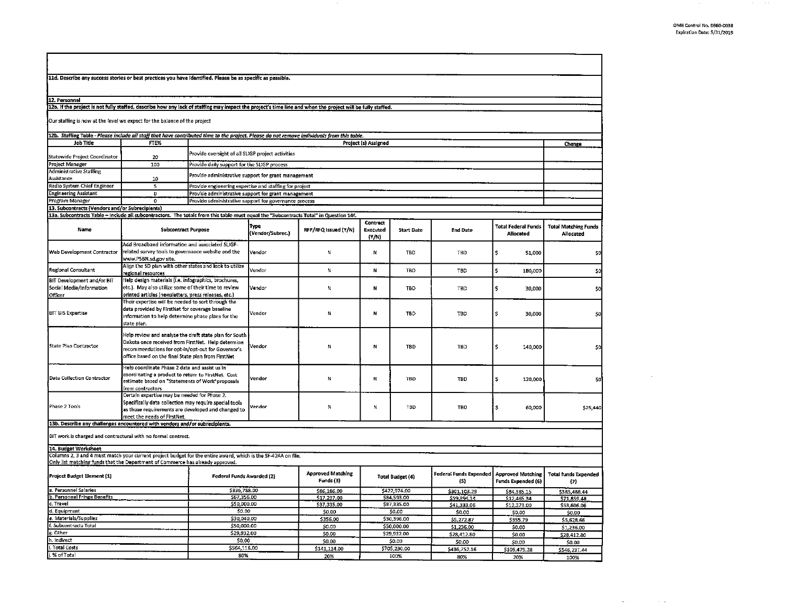11d. Describe any success stories or best practices you have identified. Please be as specific as possible. 12. Personnel 12a. If the project is not fully staffed, describe how any lack of staffing may impact the project's time line and when the project will be fully staffed. Our staffing is now at the leveJ we expect for the balance of the project 12b. Staffing Table - Please include all staff that have contributed time to the project. Please do not remove individuals from this table. Job Title **FTEX** PTEX **Project (s)** Assigned Statewide Project Coordinator **1998**<br>100 Project Manager 100 Provide daily support for the SLIGP process Administrative Staffing Provide administrative support for grant management Assistance Radio System Chief Engineer Same States Regimeering expertise and staffing for project<br>
Provide administrative support for grant management 0 **Provide administrative support for grant management** Program Manager **0 Provide administrative support for governance process** 13. Subcontracts (Vendors and/or Subrecipients) 13a. SubcontractsTable- lndude all subcontractors. The totals from this table must equal the "Subcontracts Total" in Question 14f. **Type Contract definition of the Prince of Secured RFP/RFQ Issued (Y/N) Executed** Name Subcontract Purpose (Vendor/Subrec.) RFP/RFQ Issued (Y/N) Executed Start Date Add Broadband infomiation and associated SLIGP-Web Development Contractor Trelated survey tools to governance website and the Vendor ' ' ' ' N' TBD<br>Web Web PSBN subgrowthe CD plan with other states and look to utilize<br>Allen the SD plan with other states and look to uti www.PSBN.sd.gov site. Regional Consultant Align the SD plan with other states and look to utilize Vendor re, ion al resources ' ' •BD BIT Development and/or BIT Help design materials {Le. lnfographics, brochures, Social Media/Information etc.). May also utilize some of their time to review Vendor<br>Officer ' N TBD printed articles (newsletters, press releases, etc.) N N N | TBD | Their expertise will be needed to sort through the BIT GIS Expertise data provided by FirstNet for coverage baseline Vendor ' ' ' N' N' I' TBD TBD IN TBD I' TBD state plan. Help review and analyze the draft state plan for South State Plan Contractor Dakota once received from FirstNet. Help determine vendor and the state of the Maria Contractor of TBD recommendations for opt-in/opt-out for opt-in/opt-out for opt-in/opt-out for opt-in/opt-out for G office based on the final State plan from First Net Help coordinate Phase 2 data and assist us in Data Collection Contractor coordinating a product to return to FirstNet. Cost vendor estimate based on "Statements of Work"proposals vendor estimate based on "Statements of Work"proposals vendor estimate based on "Statemen from contractors Certain expertise may be needed for Phase 2. Phase 2 Tools Specifically data collection may require special tools and changed to a state of the special vent<br>Phase 2 Tools as those requirements are developed and changed to ' ' Mark' Mark' Mark' Mark' Mark' Mark' Mark meet the needs of FirstNet. 13b. Describe any challenges encountered with vendors and/or subrecipients. BIT work is charged and contractural with no formal contract. 14. Budget Worksheet Columns 2, 3 and 4 must match your current project budget for the entire award, which is the SF-424A on file. Only list matching funds that the Department of Commerce has already approved. Project Budget Element (1) **Federal Funds Awarded (2)** Approved Matching Total Budget (4) Funds (3) **Funds (3)** Funds (3) Funds (3) Funds (3) Funds (3) Funds (3) Funds (3) Funds (3) Funds (3) Funds (3) Funds (3) Funds (3) a. Personnel Salaries \$336,788.00 \$86,186.00 \$86,186.00 \$422,974.00 b. Personnel Salaries (1922,974.00 ) = 686,186.00 ; 886,186.00 ; 8422,974.00 ; 842,974.00 ; 842,974.00 ; 843,535.00<br>- B. Expressional Fringe Benefits (1986) ; 857,935.00 ; 857,933.00 ; 857,933.00 ; 857,933.00 ; 884,535.00 C. Travel \$50,000.00 \$87,335.00 \$87,335.00 \$87,335.00 \$87,335.00 \$87,335.00 \$87,335.00 d. Equipment \$0.00 \$0.00 \$0.00 e. Materials/Supplies \$30,396.00 \$30,040.00 \$30,040.00 \$30,000 \$30,396.00 \$30,396.00 f. Subcontracts Total \$50,000.00 \$50,000.00 \$50,000.00 \$50,000 \$50,000.00 \$1.00 \$50,000.00 g. Other  $\frac{$29,932.00}{$29,932.00}$  \$0.00 \$29,932.00 h. Indirect **\$0.00 \$0.00 \$0.00** \$0.00 \$0.00 \$0.00 i. Total Costs \$564,116.00 \$141,114.00 \$705,230.00 j. %ofTotal **BO%** 20% 100% Total Federal Funds End Date Allocated TBD  $\begin{array}{|c|c|c|} \hline 5 & 51,000 \hline \end{array}$ TBD \$ 180,000 •BD \$ 30,000 TBO \$ 30,000 TBO \$ 140,000 TBD \$ 120,000 TBD \$ 60,000 Federal Funds Expended Approved Matching {\$} Funds Expended (6)  $\frac{$301,103.29}{$39,394.14}$  \$84,385.15<br>\$59,394.14 \$12,465.34 S59,394.14 S12,465.34<br>S41,333.06 S12,273.00  $\frac{$12,273.00}{$0.00}$  $$0.00$ \$5,272.87 \$355.79  $$1,236.00$  \$0.00 \$28,412.80 \$0.00  $\begin{array}{|c|c|c|c|}\n\hline\n & $6.00 & $50.00 \\
\hline\n5436,752.16 & 5109.479\n\hline\n\end{array}$ \$436 7S2.16 \$109,479.28 **80%** 2D% **Change** Total Matching Funds Allocated  $$0$ \$0 \$D \$0 \$0 \$0 \$25,440 Total funds Expended<br>(7) \$38S 488.44 \$71,859.48 \$S3,GOG.06 so.co \$S,62B.66 \$1,236.00 \$28,412.80 \$0.00 '>546,231.44 ,00%